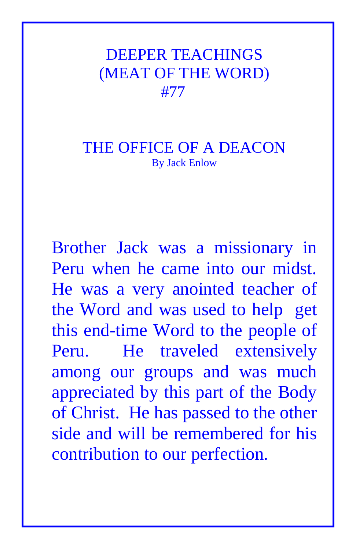## DEEPER TEACHINGS (MEAT OF THE WORD) #77

## THE OFFICE OF A DEACON By Jack Enlow

Brother Jack was a missionary in Peru when he came into our midst. He was a very anointed teacher of the Word and was used to help get this end-time Word to the people of Peru. He traveled extensively among our groups and was much appreciated by this part of the Body of Christ. He has passed to the other side and will be remembered for his contribution to our perfection.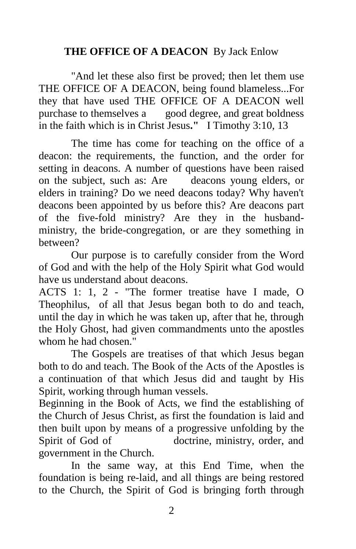## **THE OFFICE OF A DEACON** By Jack Enlow

"And let these also first be proved; then let them use THE OFFICE OF A DEACON, being found blameless...For they that have used THE OFFICE OF A DEACON well purchase to themselves a good degree, and great boldness in the faith which is in Christ Jesus**."** I Timothy 3:10, 13

The time has come for teaching on the office of a deacon: the requirements, the function, and the order for setting in deacons. A number of questions have been raised on the subject, such as: Are deacons young elders, or elders in training? Do we need deacons today? Why haven't deacons been appointed by us before this? Are deacons part of the five-fold ministry? Are they in the husbandministry, the bride-congregation, or are they something in between?

 Our purpose is to carefully consider from the Word of God and with the help of the Holy Spirit what God would have us understand about deacons.

ACTS 1: 1, 2 - "The former treatise have I made, O Theophilus, of all that Jesus began both to do and teach, until the day in which he was taken up, after that he, through the Holy Ghost, had given commandments unto the apostles whom he had chosen."

 The Gospels are treatises of that which Jesus began both to do and teach. The Book of the Acts of the Apostles is a continuation of that which Jesus did and taught by His Spirit, working through human vessels.

Beginning in the Book of Acts, we find the establishing of the Church of Jesus Christ, as first the foundation is laid and then built upon by means of a progressive unfolding by the Spirit of God of doctrine, ministry, order, and government in the Church.

In the same way, at this End Time, when the foundation is being re-laid, and all things are being restored to the Church, the Spirit of God is bringing forth through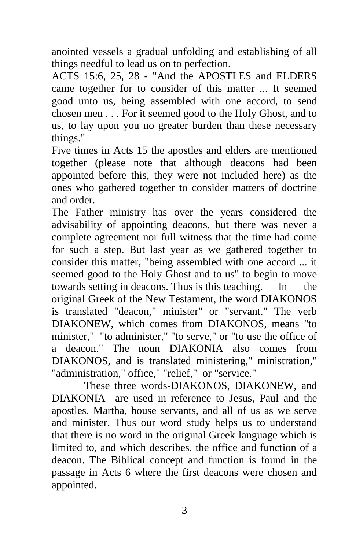anointed vessels a gradual unfolding and establishing of all things needful to lead us on to perfection.

ACTS 15:6, 25, 28 - "And the APOSTLES and ELDERS came together for to consider of this matter ... It seemed good unto us, being assembled with one accord, to send chosen men . . . For it seemed good to the Holy Ghost, and to us, to lay upon you no greater burden than these necessary things."

Five times in Acts 15 the apostles and elders are mentioned together (please note that although deacons had been appointed before this, they were not included here) as the ones who gathered together to consider matters of doctrine and order.

The Father ministry has over the years considered the advisability of appointing deacons, but there was never a complete agreement nor full witness that the time had come for such a step. But last year as we gathered together to consider this matter, "being assembled with one accord ... it seemed good to the Holy Ghost and to us" to begin to move towards setting in deacons. Thus is this teaching. In the original Greek of the New Testament, the word DIAKONOS is translated "deacon," minister" or "servant." The verb DIAKONEW, which comes from DIAKONOS, means "to minister," "to administer," "to serve," or "to use the office of a deacon." The noun DIAKONIA also comes from DIAKONOS, and is translated ministering," ministration," "administration," office," "relief," or "service."

 These three words-DIAKONOS, DIAKONEW, and DIAKONIA are used in reference to Jesus, Paul and the apostles, Martha, house servants, and all of us as we serve and minister. Thus our word study helps us to understand that there is no word in the original Greek language which is limited to, and which describes, the office and function of a deacon. The Biblical concept and function is found in the passage in Acts 6 where the first deacons were chosen and appointed.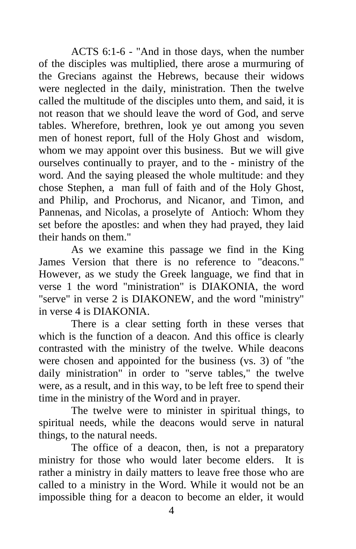ACTS 6:1-6 - "And in those days, when the number of the disciples was multiplied, there arose a murmuring of the Grecians against the Hebrews, because their widows were neglected in the daily, ministration. Then the twelve called the multitude of the disciples unto them, and said, it is not reason that we should leave the word of God, and serve tables. Wherefore, brethren, look ye out among you seven men of honest report, full of the Holy Ghost and wisdom, whom we may appoint over this business. But we will give ourselves continually to prayer, and to the - ministry of the word. And the saying pleased the whole multitude: and they chose Stephen, a man full of faith and of the Holy Ghost, and Philip, and Prochorus, and Nicanor, and Timon, and Pannenas, and Nicolas, a proselyte of Antioch: Whom they set before the apostles: and when they had prayed, they laid their hands on them."

 As we examine this passage we find in the King James Version that there is no reference to "deacons." However, as we study the Greek language, we find that in verse 1 the word "ministration" is DIAKONIA, the word "serve" in verse 2 is DIAKONEW, and the word "ministry" in verse 4 is DIAKONIA.

 There is a clear setting forth in these verses that which is the function of a deacon. And this office is clearly contrasted with the ministry of the twelve. While deacons were chosen and appointed for the business (vs. 3) of "the daily ministration" in order to "serve tables," the twelve were, as a result, and in this way, to be left free to spend their time in the ministry of the Word and in prayer.

 The twelve were to minister in spiritual things, to spiritual needs, while the deacons would serve in natural things, to the natural needs.

 The office of a deacon, then, is not a preparatory ministry for those who would later become elders. It is rather a ministry in daily matters to leave free those who are called to a ministry in the Word. While it would not be an impossible thing for a deacon to become an elder, it would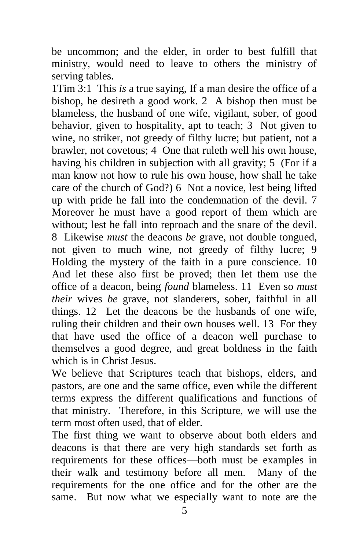be uncommon; and the elder, in order to best fulfill that ministry, would need to leave to others the ministry of serving tables.

1Tim 3:1 This *is* a true saying, If a man desire the office of a bishop, he desireth a good work. 2 A bishop then must be blameless, the husband of one wife, vigilant, sober, of good behavior, given to hospitality, apt to teach; 3 Not given to wine, no striker, not greedy of filthy lucre; but patient, not a brawler, not covetous; 4 One that ruleth well his own house, having his children in subjection with all gravity; 5 (For if a man know not how to rule his own house, how shall he take care of the church of God?) 6 Not a novice, lest being lifted up with pride he fall into the condemnation of the devil. 7 Moreover he must have a good report of them which are without; lest he fall into reproach and the snare of the devil. 8 Likewise *must* the deacons *be* grave, not double tongued, not given to much wine, not greedy of filthy lucre; 9 Holding the mystery of the faith in a pure conscience. 10 And let these also first be proved; then let them use the office of a deacon, being *found* blameless. 11 Even so *must their* wives *be* grave, not slanderers, sober, faithful in all things. 12 Let the deacons be the husbands of one wife, ruling their children and their own houses well. 13 For they that have used the office of a deacon well purchase to themselves a good degree, and great boldness in the faith which is in Christ Jesus.

We believe that Scriptures teach that bishops, elders, and pastors, are one and the same office, even while the different terms express the different qualifications and functions of that ministry. Therefore, in this Scripture, we will use the term most often used, that of elder.

The first thing we want to observe about both elders and deacons is that there are very high standards set forth as requirements for these offices—both must be examples in their walk and testimony before all men. Many of the requirements for the one office and for the other are the same. But now what we especially want to note are the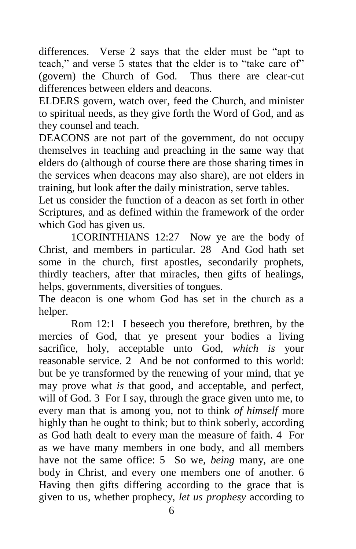differences. Verse 2 says that the elder must be "apt to teach," and verse 5 states that the elder is to "take care of" (govern) the Church of God. Thus there are clear-cut differences between elders and deacons.

ELDERS govern, watch over, feed the Church, and minister to spiritual needs, as they give forth the Word of God, and as they counsel and teach.

DEACONS are not part of the government, do not occupy themselves in teaching and preaching in the same way that elders do (although of course there are those sharing times in the services when deacons may also share), are not elders in training, but look after the daily ministration, serve tables.

Let us consider the function of a deacon as set forth in other Scriptures, and as defined within the framework of the order which God has given us.

1CORINTHIANS 12:27 Now ye are the body of Christ, and members in particular. 28 And God hath set some in the church, first apostles, secondarily prophets, thirdly teachers, after that miracles, then gifts of healings, helps, governments, diversities of tongues.

The deacon is one whom God has set in the church as a helper.

Rom 12:1 I beseech you therefore, brethren, by the mercies of God, that ye present your bodies a living sacrifice, holy, acceptable unto God, *which is* your reasonable service. 2 And be not conformed to this world: but be ye transformed by the renewing of your mind, that ye may prove what *is* that good, and acceptable, and perfect, will of God. 3 For I say, through the grace given unto me, to every man that is among you, not to think *of himself* more highly than he ought to think; but to think soberly, according as God hath dealt to every man the measure of faith. 4 For as we have many members in one body, and all members have not the same office: 5 So we, *being* many, are one body in Christ, and every one members one of another. 6 Having then gifts differing according to the grace that is given to us, whether prophecy, *let us prophesy* according to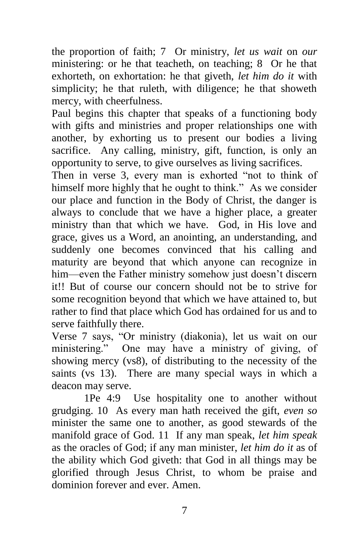the proportion of faith; 7 Or ministry, *let us wait* on *our* ministering: or he that teacheth, on teaching; 8 Or he that exhorteth, on exhortation: he that giveth, *let him do it* with simplicity; he that ruleth, with diligence; he that showeth mercy, with cheerfulness.

Paul begins this chapter that speaks of a functioning body with gifts and ministries and proper relationships one with another, by exhorting us to present our bodies a living sacrifice. Any calling, ministry, gift, function, is only an opportunity to serve, to give ourselves as living sacrifices.

Then in verse 3, every man is exhorted "not to think of himself more highly that he ought to think." As we consider our place and function in the Body of Christ, the danger is always to conclude that we have a higher place, a greater ministry than that which we have. God, in His love and grace, gives us a Word, an anointing, an understanding, and suddenly one becomes convinced that his calling and maturity are beyond that which anyone can recognize in him—even the Father ministry somehow just doesn't discern it!! But of course our concern should not be to strive for some recognition beyond that which we have attained to, but rather to find that place which God has ordained for us and to serve faithfully there.

Verse 7 says, "Or ministry (diakonia), let us wait on our ministering." One may have a ministry of giving, of showing mercy (vs8), of distributing to the necessity of the saints (vs 13). There are many special ways in which a deacon may serve.

1Pe 4:9 Use hospitality one to another without grudging. 10 As every man hath received the gift, *even so* minister the same one to another, as good stewards of the manifold grace of God. 11 If any man speak, *let him speak* as the oracles of God; if any man minister, *let him do it* as of the ability which God giveth: that God in all things may be glorified through Jesus Christ, to whom be praise and dominion forever and ever. Amen.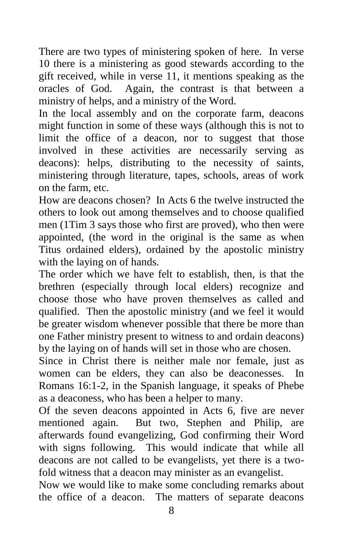There are two types of ministering spoken of here. In verse 10 there is a ministering as good stewards according to the gift received, while in verse 11, it mentions speaking as the oracles of God. Again, the contrast is that between a ministry of helps, and a ministry of the Word.

In the local assembly and on the corporate farm, deacons might function in some of these ways (although this is not to limit the office of a deacon, nor to suggest that those involved in these activities are necessarily serving as deacons): helps, distributing to the necessity of saints, ministering through literature, tapes, schools, areas of work on the farm, etc.

How are deacons chosen? In Acts 6 the twelve instructed the others to look out among themselves and to choose qualified men (1Tim 3 says those who first are proved), who then were appointed, (the word in the original is the same as when Titus ordained elders), ordained by the apostolic ministry with the laying on of hands.

The order which we have felt to establish, then, is that the brethren (especially through local elders) recognize and choose those who have proven themselves as called and qualified. Then the apostolic ministry (and we feel it would be greater wisdom whenever possible that there be more than one Father ministry present to witness to and ordain deacons) by the laying on of hands will set in those who are chosen.

Since in Christ there is neither male nor female, just as women can be elders, they can also be deaconesses. In Romans 16:1-2, in the Spanish language, it speaks of Phebe as a deaconess, who has been a helper to many.

Of the seven deacons appointed in Acts 6, five are never mentioned again. But two, Stephen and Philip, are afterwards found evangelizing, God confirming their Word with signs following. This would indicate that while all deacons are not called to be evangelists, yet there is a twofold witness that a deacon may minister as an evangelist.

Now we would like to make some concluding remarks about the office of a deacon. The matters of separate deacons